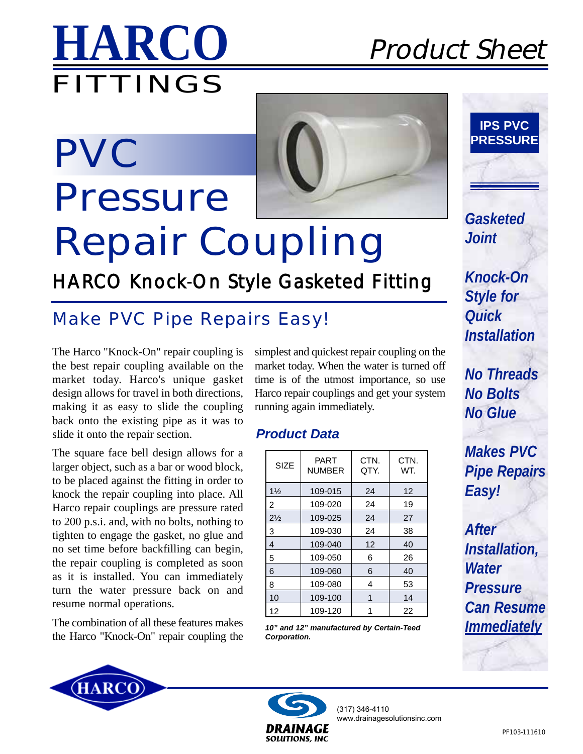

# **PVC Pressure Repair Coupling**

## HARCO Knock-On Style Gasketed Fitting

## *Make PVC Pipe Repairs Easy!*

The Harco "Knock-On" repair coupling is the best repair coupling available on the market today. Harco's unique gasket design allows for travel in both directions, making it as easy to slide the coupling back onto the existing pipe as it was to slide it onto the repair section.

The square face bell design allows for a larger object, such as a bar or wood block, to be placed against the fitting in order to knock the repair coupling into place. All Harco repair couplings are pressure rated to 200 p.s.i. and, with no bolts, nothing to tighten to engage the gasket, no glue and no set time before backfilling can begin, the repair coupling is completed as soon as it is installed. You can immediately turn the water pressure back on and resume normal operations.

The combination of all these features makes the Harco "Knock-On" repair coupling the



### *Product Data*

| <b>SIZE</b>    | PART<br><b>NUMBER</b> | CTN.<br>QTY. | CTN.<br>WT. |  |
|----------------|-----------------------|--------------|-------------|--|
| $1\frac{1}{2}$ | 109-015               | 24           | 12          |  |
| $\overline{2}$ | 109-020               | 24           | 19          |  |
| $2\frac{1}{2}$ | 109-025               | 24           | 27          |  |
| 3              | 109-030               | 24           | 38          |  |
| 4              | 109-040               | 12           | 40          |  |
| 5              | 109-050               | 6            | 26          |  |
| 6              | 109-060               | 6            | 40          |  |
| 8              | 109-080               | 4            | 53          |  |
| 10             | 109-100               | 1            | 14          |  |
| 12             | 109-120               |              | 22          |  |

*10" and 12" manufactured by Certain-Teed Corporation.*



*Gasketed Joint*

*Knock-On Style for Quick Installation*

*No Threads No Bolts No Glue*

*Makes PVC Pipe Repairs Easy!*

*After Installation, Water Pressure Can Resume Immediately*





(317) 346-4110 www.drainagesolutionsinc.com